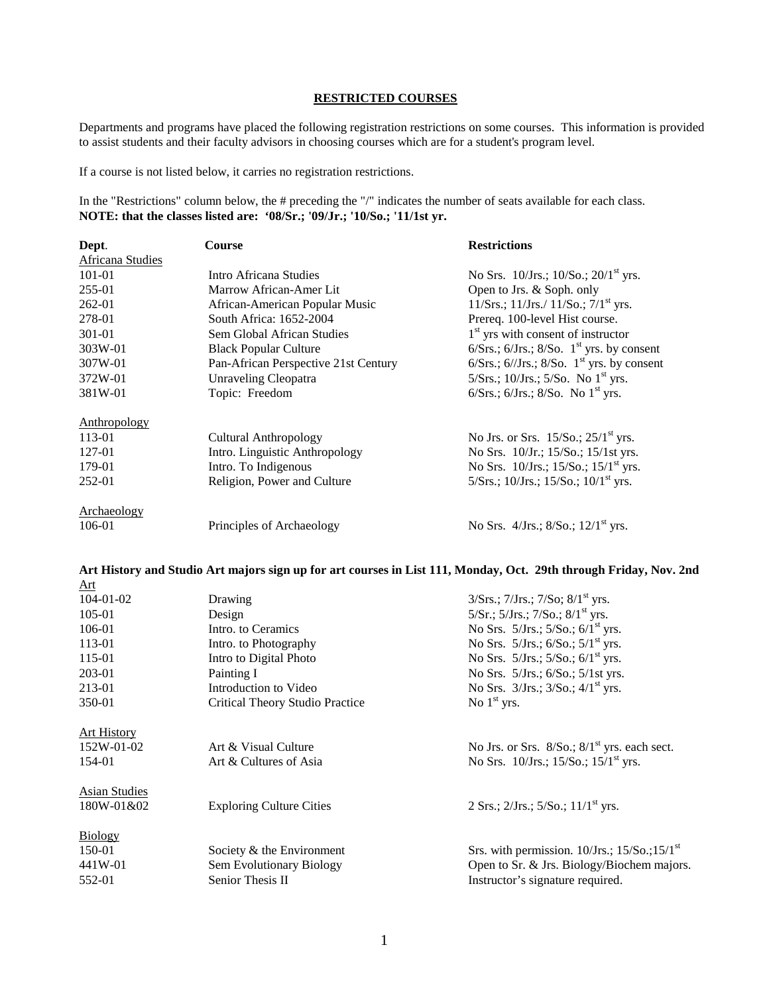## **RESTRICTED COURSES**

Departments and programs have placed the following registration restrictions on some courses. This information is provided to assist students and their faculty advisors in choosing courses which are for a student's program level.

If a course is not listed below, it carries no registration restrictions.

In the "Restrictions" column below, the # preceding the "/" indicates the number of seats available for each class. **NOTE: that the classes listed are: '08/Sr.; '09/Jr.; '10/So.; '11/1st yr.** 

| Dept.                   | <b>Course</b>                        | <b>Restrictions</b>                                          |
|-------------------------|--------------------------------------|--------------------------------------------------------------|
| <b>Africana Studies</b> |                                      |                                                              |
| 101-01                  | Intro Africana Studies               | No Srs. $10/Jrs$ ; $10/So$ ; $20/1st$ yrs.                   |
| 255-01                  | Marrow African-Amer Lit              | Open to Jrs. & Soph. only                                    |
| 262-01                  | African-American Popular Music       | $11/Srs$ .; $11/Jrs$ ./ $11/So$ .; $7/1st$ yrs.              |
| 278-01                  | South Africa: 1652-2004              | Prereq. 100-level Hist course.                               |
| 301-01                  | Sem Global African Studies           | $1st$ yrs with consent of instructor                         |
| 303W-01                 | <b>Black Popular Culture</b>         | $6/Srs$ ; $6/Jrs$ ; $8/So$ . 1 <sup>st</sup> yrs. by consent |
| 307W-01                 | Pan-African Perspective 21st Century | $6/Srs$ ; $6/Jrs$ ; $8/So$ . 1 <sup>st</sup> yrs. by consent |
| 372W-01                 | <b>Unraveling Cleopatra</b>          | 5/Srs.; 10/Jrs.; 5/So. No $1^{\text{st}}$ yrs.               |
| 381W-01                 | Topic: Freedom                       | 6/Srs.; $6/Jrs.$ ; $8/So.$ No $1st$ yrs.                     |
| Anthropology            |                                      |                                                              |
| 113-01                  | Cultural Anthropology                | No Jrs. or Srs. $15/So.; 25/1st$ yrs.                        |
| 127-01                  | Intro. Linguistic Anthropology       | No Srs. 10/Jr.; 15/So.; 15/1st yrs.                          |
| 179-01                  | Intro. To Indigenous                 | No Srs. $10/Jrs$ ; $15/So$ ; $15/1st$ yrs.                   |
| 252-01                  | Religion, Power and Culture          | 5/Srs.; 10/Jrs.; 15/So.; 10/1 <sup>st</sup> yrs.             |
| Archaeology             |                                      |                                                              |
| 106-01                  | Principles of Archaeology            | No Srs. $4/Jrs$ ; $8/So$ ; $12/1st$ yrs.                     |

## **Art History and Studio Art majors sign up for art courses in List 111, Monday, Oct. 29th through Friday, Nov. 2nd**

| Art                  |                                 |                                                     |
|----------------------|---------------------------------|-----------------------------------------------------|
| $104 - 01 - 02$      | Drawing                         | $3/Srs$ .; $7/Jrs$ .; $7/So$ ; $8/1st$ yrs.         |
| 105-01               | Design                          | $5/Sr$ .; $5/Jrs$ .; $7/So$ .; $8/1st$ yrs.         |
| 106-01               | Intro, to Ceramics              | No Srs. $5/Jrs$ ; $5/So$ ; $6/1st$ yrs.             |
| 113-01               | Intro. to Photography           | No Srs. $5/Jrs$ ; $6/So$ ; $5/1st$ yrs.             |
| 115-01               | Intro to Digital Photo          | No Srs. $5/Jrs$ ; $5/So$ ; $6/1st$ yrs.             |
| 203-01               | Painting I                      | No Srs. 5/Jrs.; 6/So.; 5/1st yrs.                   |
| 213-01               | Introduction to Video           | No Srs. $3/Jrs$ ; $3/So$ ; $4/1st$ yrs.             |
| 350-01               | Critical Theory Studio Practice | No $1st$ yrs.                                       |
| <b>Art History</b>   |                                 |                                                     |
| 152W-01-02           | Art & Visual Culture            | No Jrs. or Srs. $8/So$ ; $8/1st$ yrs. each sect.    |
| 154-01               | Art & Cultures of Asia          | No Srs. $10/Jrs$ ; $15/So$ ; $15/1st$ yrs.          |
| <b>Asian Studies</b> |                                 |                                                     |
| 180W-01&02           | <b>Exploring Culture Cities</b> | 2 Srs.; $2/Jrs.$ ; $5/So.$ ; $11/1st$ yrs.          |
| <b>Biology</b>       |                                 |                                                     |
| 150-01               | Society & the Environment       | Srs. with permission. $10/Jrs$ ; $15/So$ ; $15/1st$ |
| 441W-01              | Sem Evolutionary Biology        | Open to Sr. $\&$ Jrs. Biology/Biochem majors.       |
| 552-01               | Senior Thesis II                | Instructor's signature required.                    |
|                      |                                 |                                                     |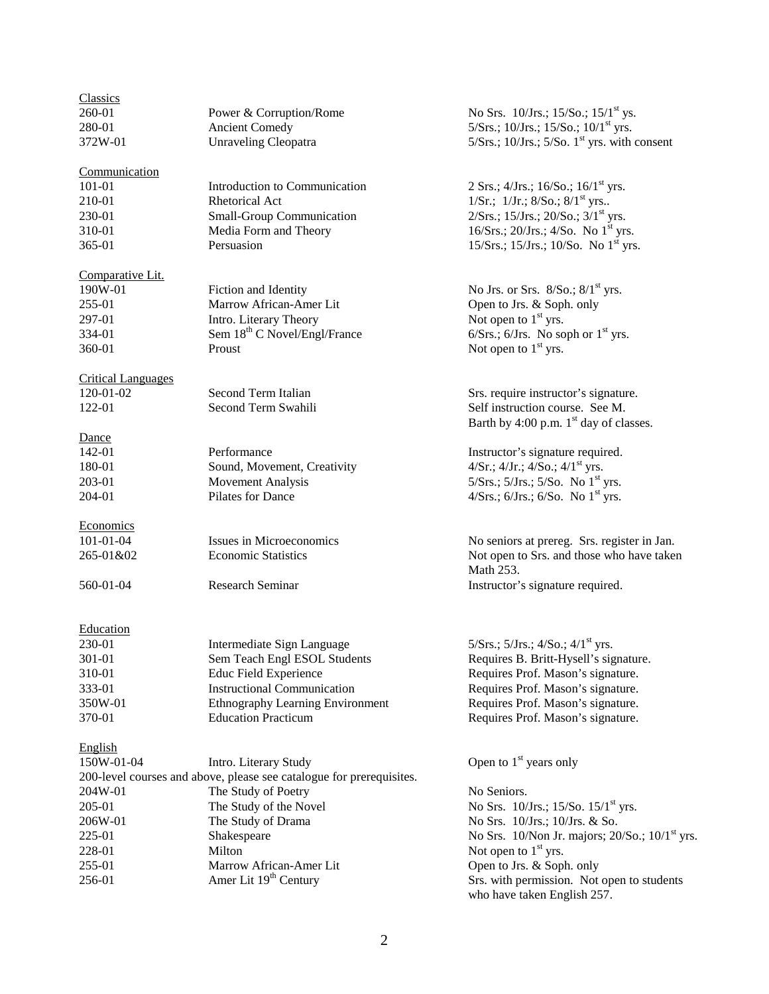| <b>Classics</b>           |                                                                      |                                                         |
|---------------------------|----------------------------------------------------------------------|---------------------------------------------------------|
| 260-01                    | Power & Corruption/Rome                                              | No Srs. $10/Jrs$ ; $15/So$ ; $15/1st$ ys.               |
| 280-01                    | <b>Ancient Comedy</b>                                                | 5/Srs.; 10/Jrs.; 15/So.; 10/1 <sup>st</sup> yrs.        |
| 372W-01                   | <b>Unraveling Cleopatra</b>                                          | $5/Srs$ .; $10/Jrs$ .; $5/So$ . $1st$ yrs. with consent |
|                           |                                                                      |                                                         |
| Communication             |                                                                      |                                                         |
| 101-01                    | Introduction to Communication                                        | 2 Srs.; $4/Jrs.$ ; $16/So.$ ; $16/1st yrs.$             |
| 210-01                    | Rhetorical Act                                                       | 1/Sr.; $1/Jr$ .; $8/So$ .; $8/1st$ yrs                  |
| 230-01                    | <b>Small-Group Communication</b>                                     | $2/Srs$ .; 15/Jrs.; 20/So.; 3/1 <sup>st</sup> yrs.      |
| 310-01                    | Media Form and Theory                                                | 16/Srs.; 20/Jrs.; 4/So. No $1st$ yrs.                   |
| 365-01                    | Persuasion                                                           | 15/Srs.; 15/Jrs.; 10/So. No $1^{st}$ yrs.               |
|                           |                                                                      |                                                         |
| Comparative Lit.          |                                                                      |                                                         |
| 190W-01                   | Fiction and Identity                                                 | No Jrs. or Srs. $8/So.; 8/1st$ yrs.                     |
| 255-01                    | Marrow African-Amer Lit                                              | Open to Jrs. & Soph. only                               |
| 297-01                    | Intro. Literary Theory                                               | Not open to $1st$ yrs.                                  |
| 334-01                    | Sem 18 <sup>th</sup> C Novel/Engl/France                             | $6/Srs$ .; $6/Jrs$ . No soph or $1st$ yrs.              |
| 360-01                    | Proust                                                               | Not open to $1st$ yrs.                                  |
|                           |                                                                      |                                                         |
| <b>Critical Languages</b> |                                                                      |                                                         |
| 120-01-02                 | Second Term Italian                                                  | Srs. require instructor's signature.                    |
| 122-01                    | Second Term Swahili                                                  | Self instruction course. See M.                         |
|                           |                                                                      | Barth by 4:00 p.m. $1st$ day of classes.                |
| Dance                     |                                                                      |                                                         |
| 142-01                    | Performance                                                          | Instructor's signature required.                        |
| 180-01                    | Sound, Movement, Creativity                                          | $4/Sr$ .; $4/Jr$ .; $4/So$ .; $4/1st$ yrs.              |
| 203-01                    | <b>Movement Analysis</b>                                             | $5/Srs$ .; $5/Jrs$ .; $5/So$ . No $1st$ yrs.            |
| 204-01                    | Pilates for Dance                                                    | $4/Srs$ .; $6/Jrs$ .; $6/So$ . No $1st$ yrs.            |
|                           |                                                                      |                                                         |
| Economics                 |                                                                      |                                                         |
| 101-01-04                 | Issues in Microeconomics                                             | No seniors at prereg. Srs. register in Jan.             |
| 265-01&02                 | <b>Economic Statistics</b>                                           | Not open to Srs. and those who have taken               |
|                           |                                                                      | Math 253.                                               |
| 560-01-04                 | <b>Research Seminar</b>                                              | Instructor's signature required.                        |
|                           |                                                                      |                                                         |
|                           |                                                                      |                                                         |
| Education                 |                                                                      |                                                         |
| 230-01                    | Intermediate Sign Language                                           | 5/Srs.; 5/Jrs.; 4/So.; $4/1$ <sup>st</sup> yrs.         |
| 301-01                    | Sem Teach Engl ESOL Students                                         | Requires B. Britt-Hysell's signature.                   |
| 310-01                    | <b>Educ Field Experience</b>                                         | Requires Prof. Mason's signature.                       |
| 333-01                    | <b>Instructional Communication</b>                                   | Requires Prof. Mason's signature.                       |
| 350W-01                   | Ethnography Learning Environment                                     | Requires Prof. Mason's signature.                       |
| 370-01                    | <b>Education Practicum</b>                                           | Requires Prof. Mason's signature.                       |
|                           |                                                                      |                                                         |
| English<br>150W-01-04     |                                                                      | Open to $1st$ years only                                |
|                           | Intro. Literary Study                                                |                                                         |
|                           | 200-level courses and above, please see catalogue for prerequisites. |                                                         |
| 204W-01                   | The Study of Poetry                                                  | No Seniors.                                             |
| 205-01                    | The Study of the Novel                                               | No Srs. 10/Jrs.; 15/So. 15/1 <sup>st</sup> yrs.         |
| 206W-01                   | The Study of Drama                                                   | No Srs. 10/Jrs.; 10/Jrs. & So.                          |
| 225-01                    | Shakespeare                                                          | No Srs. $10/N$ on Jr. majors; $20/So$ .; $10/1st$ yrs.  |
| 228-01                    | Milton                                                               | Not open to $1st$ yrs.                                  |
| 255-01                    | Marrow African-Amer Lit                                              | Open to Jrs. & Soph. only                               |
| 256-01                    | Amer Lit 19 <sup>th</sup> Century                                    | Srs. with permission. Not open to students              |
|                           |                                                                      | who have taken English 257.                             |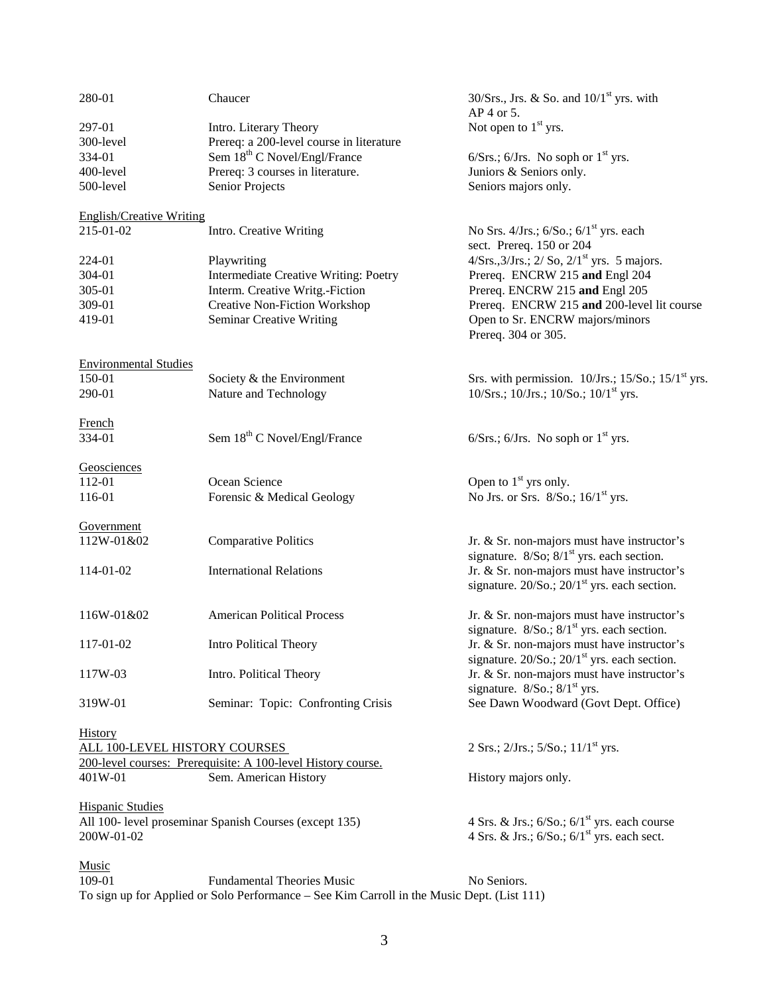| 280-01                               | Chaucer                                                      | 30/Srs., Jrs. & So. and $10/1st$ yrs. with<br>AP 4 or 5. |
|--------------------------------------|--------------------------------------------------------------|----------------------------------------------------------|
| 297-01                               | Intro. Literary Theory                                       | Not open to $1st$ yrs.                                   |
| 300-level                            | Prereq: a 200-level course in literature                     |                                                          |
| 334-01                               | Sem 18 <sup>th</sup> C Novel/Engl/France                     | $6/Srs$ .; $6/Jrs$ . No soph or $1st$ yrs.               |
|                                      |                                                              |                                                          |
| 400-level                            | Prereq: 3 courses in literature.                             | Juniors & Seniors only.                                  |
| 500-level                            | Senior Projects                                              | Seniors majors only.                                     |
| <b>English/Creative Writing</b>      |                                                              |                                                          |
| 215-01-02                            | Intro. Creative Writing                                      | No Srs. $4/Jrs$ ; $6/So$ ; $6/1st$ yrs. each             |
|                                      |                                                              | sect. Prereq. 150 or 204                                 |
| 224-01                               | Playwriting                                                  | $4/Srs., 3/Jrs.; 2/So, 2/1st yrs. 5 majors.$             |
| 304-01                               | Intermediate Creative Writing: Poetry                        | Prereq. ENCRW 215 and Engl 204                           |
| 305-01                               | Interm. Creative Writg.-Fiction                              | Prereq. ENCRW 215 and Engl 205                           |
| 309-01                               | <b>Creative Non-Fiction Workshop</b>                         | Prereq. ENCRW 215 and 200-level lit course               |
|                                      |                                                              |                                                          |
| 419-01                               | Seminar Creative Writing                                     | Open to Sr. ENCRW majors/minors<br>Prereq. 304 or 305.   |
| <b>Environmental Studies</b>         |                                                              |                                                          |
| 150-01                               | Society & the Environment                                    | Srs. with permission. $10/Jrs$ ; $15/So$ ; $15/1st$ yrs. |
| 290-01                               | Nature and Technology                                        | 10/Srs.; 10/Jrs.; 10/So.; 10/1 <sup>st</sup> yrs.        |
|                                      |                                                              |                                                          |
| French                               |                                                              |                                                          |
| 334-01                               | Sem 18 <sup>th</sup> C Novel/Engl/France                     | $6/Srs$ ; $6/Jrs$ . No soph or $1st$ yrs.                |
| Geosciences                          |                                                              |                                                          |
| 112-01                               | Ocean Science                                                | Open to $1st$ yrs only.                                  |
| 116-01                               | Forensic & Medical Geology                                   | No Jrs. or Srs. $8/So$ ; $16/1st$ yrs.                   |
|                                      |                                                              |                                                          |
| Government                           |                                                              |                                                          |
| 112W-01&02                           | <b>Comparative Politics</b>                                  | Jr. & Sr. non-majors must have instructor's              |
|                                      |                                                              | signature. $8/So$ ; $8/1st$ yrs. each section.           |
| 114-01-02                            | <b>International Relations</b>                               | Jr. & Sr. non-majors must have instructor's              |
|                                      |                                                              | signature. $20/So$ .; $20/1st$ yrs. each section.        |
| 116W-01&02                           | <b>American Political Process</b>                            | Jr. & Sr. non-majors must have instructor's              |
|                                      |                                                              | signature. 8/So.; 8/1 <sup>st</sup> yrs. each section.   |
| 117-01-02                            | <b>Intro Political Theory</b>                                | Jr. & Sr. non-majors must have instructor's              |
|                                      |                                                              | signature. $20/So$ .; $20/1st$ yrs. each section.        |
| 117W-03                              | Intro. Political Theory                                      | Jr. & Sr. non-majors must have instructor's              |
|                                      |                                                              | signature. $8/So.; 8/1st yrs.$                           |
| 319W-01                              | Seminar: Topic: Confronting Crisis                           | See Dawn Woodward (Govt Dept. Office)                    |
| <b>History</b>                       |                                                              |                                                          |
| <b>ALL 100-LEVEL HISTORY COURSES</b> |                                                              | 2 Srs.; $2/Jrs.$ ; $5/So.$ ; $11/1st yrs.$               |
|                                      | 200-level courses: Prerequisite: A 100-level History course. |                                                          |
|                                      |                                                              |                                                          |
| 401W-01                              | Sem. American History                                        | History majors only.                                     |
| <b>Hispanic Studies</b>              |                                                              |                                                          |
|                                      | All 100- level proseminar Spanish Courses (except 135)       | 4 Srs. & Jrs.; $6/So$ .; $6/1st$ yrs. each course        |
| 200W-01-02                           |                                                              | 4 Srs. & Jrs.; $6/So$ .; $6/1st$ yrs. each sect.         |
|                                      |                                                              |                                                          |
| <b>Music</b>                         |                                                              |                                                          |
| 109-01                               | <b>Fundamental Theories Music</b>                            | No Seniors.                                              |
|                                      |                                                              |                                                          |

To sign up for Applied or Solo Performance – See Kim Carroll in the Music Dept. (List 111)